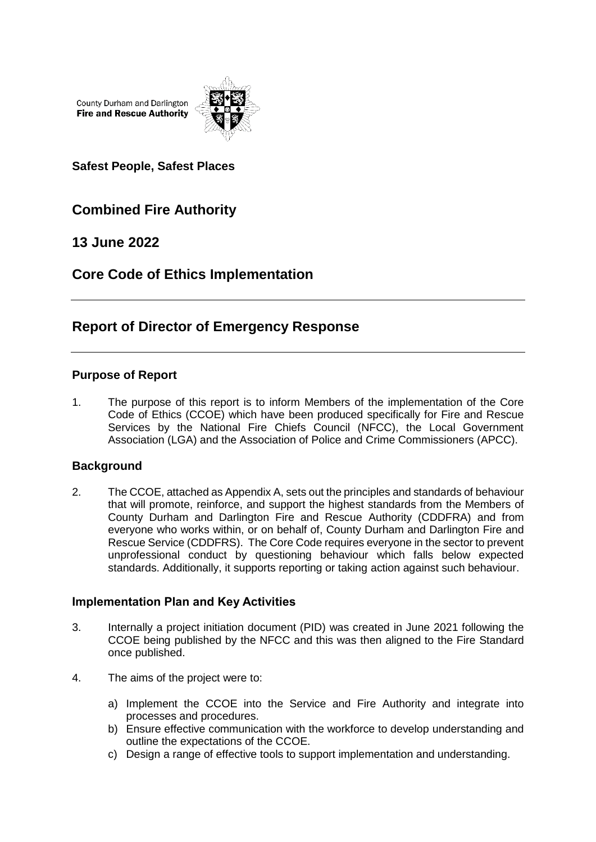County Durham and Darlington **Fire and Rescue Authority** 



**Safest People, Safest Places**

## **Combined Fire Authority**

## **13 June 2022**

## **Core Code of Ethics Implementation**

# **Report of Director of Emergency Response**

## **Purpose of Report**

1. The purpose of this report is to inform Members of the implementation of the Core Code of Ethics (CCOE) which have been produced specifically for Fire and Rescue Services by the National Fire Chiefs Council (NFCC), the Local Government Association (LGA) and the Association of Police and Crime Commissioners (APCC).

## **Background**

2. The CCOE, attached as Appendix A, sets out the principles and standards of behaviour that will promote, reinforce, and support the highest standards from the Members of County Durham and Darlington Fire and Rescue Authority (CDDFRA) and from everyone who works within, or on behalf of, County Durham and Darlington Fire and Rescue Service (CDDFRS). The Core Code requires everyone in the sector to prevent unprofessional conduct by questioning behaviour which falls below expected standards. Additionally, it supports reporting or taking action against such behaviour.

### **Implementation Plan and Key Activities**

- 3. Internally a project initiation document (PID) was created in June 2021 following the CCOE being published by the NFCC and this was then aligned to the Fire Standard once published.
- 4. The aims of the project were to:
	- a) Implement the CCOE into the Service and Fire Authority and integrate into processes and procedures.
	- b) Ensure effective communication with the workforce to develop understanding and outline the expectations of the CCOE.
	- c) Design a range of effective tools to support implementation and understanding.